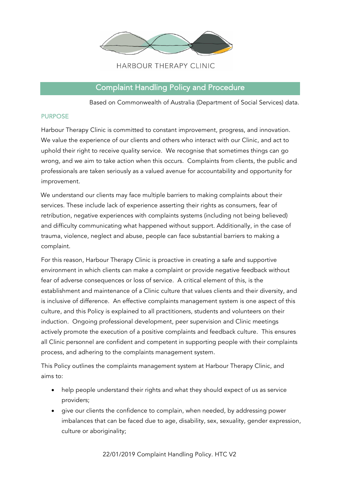

# Complaint Handling Policy and Procedure

Based on Commonwealth of Australia (Department of Social Services) data.

## PURPOSE

Harbour Therapy Clinic is committed to constant improvement, progress, and innovation. We value the experience of our clients and others who interact with our Clinic, and act to uphold their right to receive quality service. We recognise that sometimes things can go wrong, and we aim to take action when this occurs. Complaints from clients, the public and professionals are taken seriously as a valued avenue for accountability and opportunity for improvement.

We understand our clients may face multiple barriers to making complaints about their services. These include lack of experience asserting their rights as consumers, fear of retribution, negative experiences with complaints systems (including not being believed) and difficulty communicating what happened without support. Additionally, in the case of trauma, violence, neglect and abuse, people can face substantial barriers to making a complaint.

For this reason, Harbour Therapy Clinic is proactive in creating a safe and supportive environment in which clients can make a complaint or provide negative feedback without fear of adverse consequences or loss of service. A critical element of this, is the establishment and maintenance of a Clinic culture that values clients and their diversity, and is inclusive of difference. An effective complaints management system is one aspect of this culture, and this Policy is explained to all practitioners, students and volunteers on their induction. Ongoing professional development, peer supervision and Clinic meetings actively promote the execution of a positive complaints and feedback culture. This ensures all Clinic personnel are confident and competent in supporting people with their complaints process, and adhering to the complaints management system.

This Policy outlines the complaints management system at Harbour Therapy Clinic, and aims to:

- help people understand their rights and what they should expect of us as service providers;
- give our clients the confidence to complain, when needed, by addressing power imbalances that can be faced due to age, disability, sex, sexuality, gender expression, culture or aboriginality;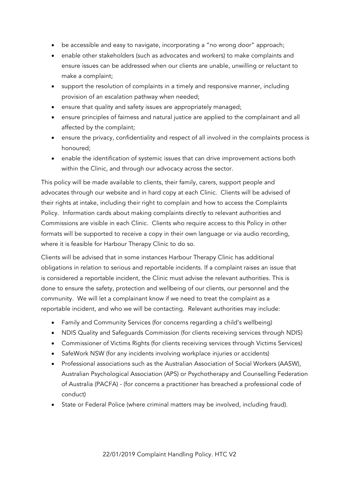- be accessible and easy to navigate, incorporating a "no wrong door" approach;
- enable other stakeholders (such as advocates and workers) to make complaints and ensure issues can be addressed when our clients are unable, unwilling or reluctant to make a complaint;
- support the resolution of complaints in a timely and responsive manner, including provision of an escalation pathway when needed;
- ensure that quality and safety issues are appropriately managed;
- ensure principles of fairness and natural justice are applied to the complainant and all affected by the complaint;
- ensure the privacy, confidentiality and respect of all involved in the complaints process is honoured;
- enable the identification of systemic issues that can drive improvement actions both within the Clinic, and through our advocacy across the sector.

This policy will be made available to clients, their family, carers, support people and advocates through our website and in hard copy at each Clinic. Clients will be advised of their rights at intake, including their right to complain and how to access the Complaints Policy. Information cards about making complaints directly to relevant authorities and Commissions are visible in each Clinic. Clients who require access to this Policy in other formats will be supported to receive a copy in their own language or via audio recording, where it is feasible for Harbour Therapy Clinic to do so.

Clients will be advised that in some instances Harbour Therapy Clinic has additional obligations in relation to serious and reportable incidents. If a complaint raises an issue that is considered a reportable incident, the Clinic must advise the relevant authorities. This is done to ensure the safety, protection and wellbeing of our clients, our personnel and the community. We will let a complainant know if we need to treat the complaint as a reportable incident, and who we will be contacting. Relevant authorities may include:

- Family and Community Services (for concerns regarding a child's wellbeing)
- NDIS Quality and Safeguards Commission (for clients receiving services through NDIS)
- Commissioner of Victims Rights (for clients receiving services through Victims Services)
- SafeWork NSW (for any incidents involving workplace injuries or accidents)
- Professional associations such as the Australian Association of Social Workers (AASW), Australian Psychological Association (APS) or Psychotherapy and Counselling Federation of Australia (PACFA) - (for concerns a practitioner has breached a professional code of conduct)
- State or Federal Police (where criminal matters may be involved, including fraud).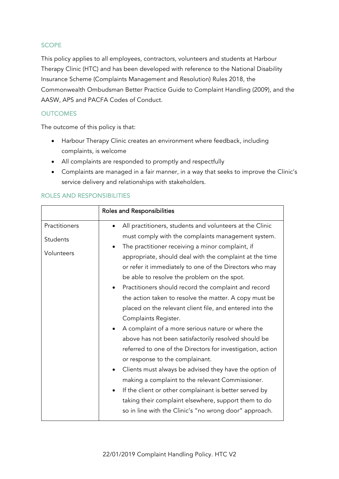# **SCOPE**

This policy applies to all employees, contractors, volunteers and students at Harbour Therapy Clinic (HTC) and has been developed with reference to the National Disability Insurance Scheme (Complaints Management and Resolution) Rules 2018, the Commonwealth Ombudsman Better Practice Guide to Complaint Handling (2009), and the AASW, APS and PACFA Codes of Conduct.

# **OUTCOMES**

The outcome of this policy is that:

- Harbour Therapy Clinic creates an environment where feedback, including complaints, is welcome
- All complaints are responded to promptly and respectfully
- Complaints are managed in a fair manner, in a way that seeks to improve the Clinic's service delivery and relationships with stakeholders.

|                                         | <b>Roles and Responsibilities</b>                                                                                                                                                                                                                                                                                                                                                                                                                                                                                                                                                                                                                                                                                                                                                                                                                                                                                                                                                                                                                                               |
|-----------------------------------------|---------------------------------------------------------------------------------------------------------------------------------------------------------------------------------------------------------------------------------------------------------------------------------------------------------------------------------------------------------------------------------------------------------------------------------------------------------------------------------------------------------------------------------------------------------------------------------------------------------------------------------------------------------------------------------------------------------------------------------------------------------------------------------------------------------------------------------------------------------------------------------------------------------------------------------------------------------------------------------------------------------------------------------------------------------------------------------|
| Practitioners<br>Students<br>Volunteers | All practitioners, students and volunteers at the Clinic<br>must comply with the complaints management system.<br>The practitioner receiving a minor complaint, if<br>$\bullet$<br>appropriate, should deal with the complaint at the time<br>or refer it immediately to one of the Directors who may<br>be able to resolve the problem on the spot.<br>Practitioners should record the complaint and record<br>the action taken to resolve the matter. A copy must be<br>placed on the relevant client file, and entered into the<br>Complaints Register.<br>A complaint of a more serious nature or where the<br>above has not been satisfactorily resolved should be<br>referred to one of the Directors for investigation, action<br>or response to the complainant.<br>Clients must always be advised they have the option of<br>making a complaint to the relevant Commissioner.<br>If the client or other complainant is better served by<br>$\bullet$<br>taking their complaint elsewhere, support them to do<br>so in line with the Clinic's "no wrong door" approach. |

## ROLES AND RESPONSIBILITIES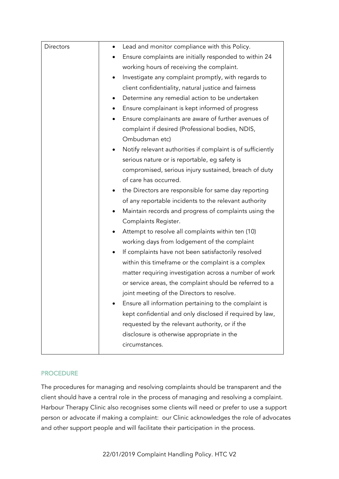| Directors | Lead and monitor compliance with this Policy.<br>$\bullet$               |
|-----------|--------------------------------------------------------------------------|
|           | Ensure complaints are initially responded to within 24                   |
|           | working hours of receiving the complaint.                                |
|           | Investigate any complaint promptly, with regards to<br>$\bullet$         |
|           | client confidentiality, natural justice and fairness                     |
|           | Determine any remedial action to be undertaken<br>٠                      |
|           | Ensure complainant is kept informed of progress<br>٠                     |
|           | Ensure complainants are aware of further avenues of<br>$\bullet$         |
|           | complaint if desired (Professional bodies, NDIS,                         |
|           | Ombudsman etc)                                                           |
|           | Notify relevant authorities if complaint is of sufficiently<br>$\bullet$ |
|           | serious nature or is reportable, eg safety is                            |
|           | compromised, serious injury sustained, breach of duty                    |
|           | of care has occurred.                                                    |
|           | the Directors are responsible for same day reporting<br>$\bullet$        |
|           | of any reportable incidents to the relevant authority                    |
|           | Maintain records and progress of complaints using the<br>$\bullet$       |
|           | Complaints Register.                                                     |
|           | Attempt to resolve all complaints within ten (10)                        |
|           | working days from lodgement of the complaint                             |
|           | If complaints have not been satisfactorily resolved                      |
|           | within this timeframe or the complaint is a complex                      |
|           | matter requiring investigation across a number of work                   |
|           | or service areas, the complaint should be referred to a                  |
|           | joint meeting of the Directors to resolve.                               |
|           | Ensure all information pertaining to the complaint is                    |
|           | kept confidential and only disclosed if required by law,                 |
|           | requested by the relevant authority, or if the                           |
|           | disclosure is otherwise appropriate in the                               |
|           | circumstances.                                                           |

# **PROCEDURE**

The procedures for managing and resolving complaints should be transparent and the client should have a central role in the process of managing and resolving a complaint. Harbour Therapy Clinic also recognises some clients will need or prefer to use a support person or advocate if making a complaint: our Clinic acknowledges the role of advocates and other support people and will facilitate their participation in the process.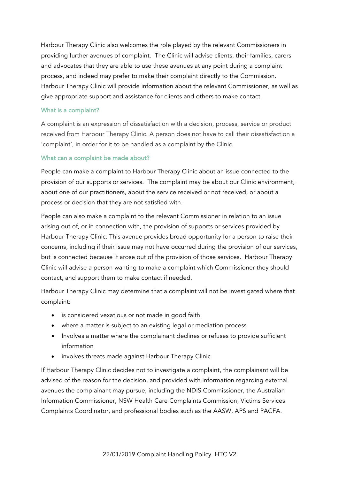Harbour Therapy Clinic also welcomes the role played by the relevant Commissioners in providing further avenues of complaint. The Clinic will advise clients, their families, carers and advocates that they are able to use these avenues at any point during a complaint process, and indeed may prefer to make their complaint directly to the Commission. Harbour Therapy Clinic will provide information about the relevant Commissioner, as well as give appropriate support and assistance for clients and others to make contact.

# What is a complaint?

A complaint is an expression of dissatisfaction with a decision, process, service or product received from Harbour Therapy Clinic. A person does not have to call their dissatisfaction a 'complaint', in order for it to be handled as a complaint by the Clinic.

# What can a complaint be made about?

People can make a complaint to Harbour Therapy Clinic about an issue connected to the provision of our supports or services. The complaint may be about our Clinic environment, about one of our practitioners, about the service received or not received, or about a process or decision that they are not satisfied with.

People can also make a complaint to the relevant Commissioner in relation to an issue arising out of, or in connection with, the provision of supports or services provided by Harbour Therapy Clinic. This avenue provides broad opportunity for a person to raise their concerns, including if their issue may not have occurred during the provision of our services, but is connected because it arose out of the provision of those services. Harbour Therapy Clinic will advise a person wanting to make a complaint which Commissioner they should contact, and support them to make contact if needed.

Harbour Therapy Clinic may determine that a complaint will not be investigated where that complaint:

- is considered vexatious or not made in good faith
- where a matter is subject to an existing legal or mediation process
- Involves a matter where the complainant declines or refuses to provide sufficient information
- involves threats made against Harbour Therapy Clinic.

If Harbour Therapy Clinic decides not to investigate a complaint, the complainant will be advised of the reason for the decision, and provided with information regarding external avenues the complainant may pursue, including the NDIS Commissioner, the Australian Information Commissioner, NSW Health Care Complaints Commission, Victims Services Complaints Coordinator, and professional bodies such as the AASW, APS and PACFA.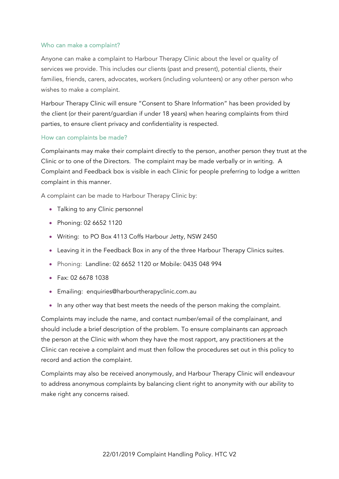# Who can make a complaint?

Anyone can make a complaint to Harbour Therapy Clinic about the level or quality of services we provide. This includes our clients (past and present), potential clients, their families, friends, carers, advocates, workers (including volunteers) or any other person who wishes to make a complaint.

Harbour Therapy Clinic will ensure "Consent to Share Information" has been provided by the client (or their parent/guardian if under 18 years) when hearing complaints from third parties, to ensure client privacy and confidentiality is respected.

## How can complaints be made?

Complainants may make their complaint directly to the person, another person they trust at the Clinic or to one of the Directors. The complaint may be made verbally or in writing. A Complaint and Feedback box is visible in each Clinic for people preferring to lodge a written complaint in this manner.

A complaint can be made to Harbour Therapy Clinic by:

- Talking to any Clinic personnel
- Phoning: 02 6652 1120
- Writing: to PO Box 4113 Coffs Harbour Jetty, NSW 2450
- Leaving it in the Feedback Box in any of the three Harbour Therapy Clinics suites.
- Phoning: Landline: 02 6652 1120 or Mobile: 0435 048 994
- Fax: 02 6678 1038
- Emailing: enquiries@harbourtherapyclinic.com.au
- In any other way that best meets the needs of the person making the complaint.

Complaints may include the name, and contact number/email of the complainant, and should include a brief description of the problem. To ensure complainants can approach the person at the Clinic with whom they have the most rapport, any practitioners at the Clinic can receive a complaint and must then follow the procedures set out in this policy to record and action the complaint.

Complaints may also be received anonymously, and Harbour Therapy Clinic will endeavour to address anonymous complaints by balancing client right to anonymity with our ability to make right any concerns raised.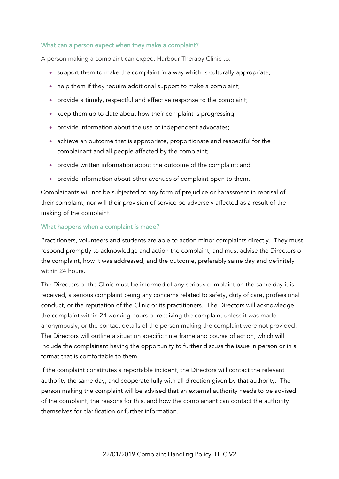## What can a person expect when they make a complaint?

A person making a complaint can expect Harbour Therapy Clinic to:

- support them to make the complaint in a way which is culturally appropriate;
- help them if they require additional support to make a complaint;
- provide a timely, respectful and effective response to the complaint;
- keep them up to date about how their complaint is progressing;
- provide information about the use of independent advocates;
- achieve an outcome that is appropriate, proportionate and respectful for the complainant and all people affected by the complaint;
- provide written information about the outcome of the complaint; and
- provide information about other avenues of complaint open to them.

Complainants will not be subjected to any form of prejudice or harassment in reprisal of their complaint, nor will their provision of service be adversely affected as a result of the making of the complaint.

## What happens when a complaint is made?

Practitioners, volunteers and students are able to action minor complaints directly. They must respond promptly to acknowledge and action the complaint, and must advise the Directors of the complaint, how it was addressed, and the outcome, preferably same day and definitely within 24 hours.

The Directors of the Clinic must be informed of any serious complaint on the same day it is received, a serious complaint being any concerns related to safety, duty of care, professional conduct, or the reputation of the Clinic or its practitioners. The Directors will acknowledge the complaint within 24 working hours of receiving the complaint unless it was made anonymously, or the contact details of the person making the complaint were not provided. The Directors will outline a situation specific time frame and course of action, which will include the complainant having the opportunity to further discuss the issue in person or in a format that is comfortable to them.

If the complaint constitutes a reportable incident, the Directors will contact the relevant authority the same day, and cooperate fully with all direction given by that authority. The person making the complaint will be advised that an external authority needs to be advised of the complaint, the reasons for this, and how the complainant can contact the authority themselves for clarification or further information.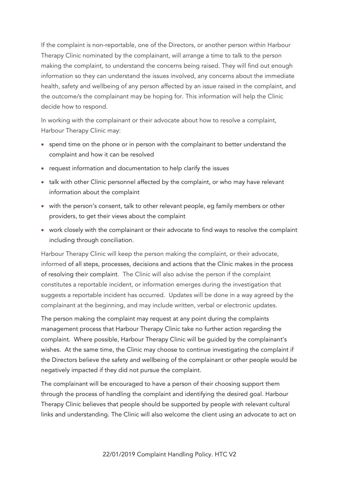If the complaint is non-reportable, one of the Directors, or another person within Harbour Therapy Clinic nominated by the complainant, will arrange a time to talk to the person making the complaint, to understand the concerns being raised. They will find out enough information so they can understand the issues involved, any concerns about the immediate health, safety and wellbeing of any person affected by an issue raised in the complaint, and the outcome/s the complainant may be hoping for. This information will help the Clinic decide how to respond.

In working with the complainant or their advocate about how to resolve a complaint, Harbour Therapy Clinic may:

- spend time on the phone or in person with the complainant to better understand the complaint and how it can be resolved
- request information and documentation to help clarify the issues
- talk with other Clinic personnel affected by the complaint, or who may have relevant information about the complaint
- with the person's consent, talk to other relevant people, eg family members or other providers, to get their views about the complaint
- work closely with the complainant or their advocate to find ways to resolve the complaint including through conciliation.

Harbour Therapy Clinic will keep the person making the complaint, or their advocate, informed of all steps, processes, decisions and actions that the Clinic makes in the process of resolving their complaint. The Clinic will also advise the person if the complaint constitutes a reportable incident, or information emerges during the investigation that suggests a reportable incident has occurred. Updates will be done in a way agreed by the complainant at the beginning, and may include written, verbal or electronic updates.

The person making the complaint may request at any point during the complaints management process that Harbour Therapy Clinic take no further action regarding the complaint. Where possible, Harbour Therapy Clinic will be guided by the complainant's wishes. At the same time, the Clinic may choose to continue investigating the complaint if the Directors believe the safety and wellbeing of the complainant or other people would be negatively impacted if they did not pursue the complaint.

The complainant will be encouraged to have a person of their choosing support them through the process of handling the complaint and identifying the desired goal. Harbour Therapy Clinic believes that people should be supported by people with relevant cultural links and understanding. The Clinic will also welcome the client using an advocate to act on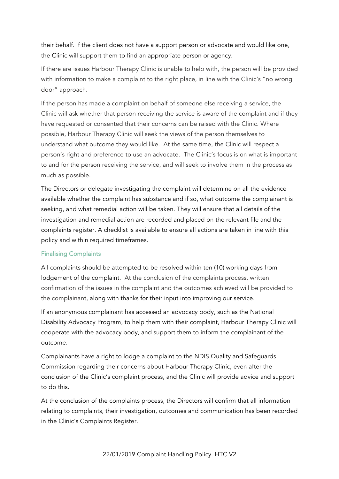their behalf. If the client does not have a support person or advocate and would like one, the Clinic will support them to find an appropriate person or agency.

If there are issues Harbour Therapy Clinic is unable to help with, the person will be provided with information to make a complaint to the right place, in line with the Clinic's "no wrong door" approach.

If the person has made a complaint on behalf of someone else receiving a service, the Clinic will ask whether that person receiving the service is aware of the complaint and if they have requested or consented that their concerns can be raised with the Clinic. Where possible, Harbour Therapy Clinic will seek the views of the person themselves to understand what outcome they would like. At the same time, the Clinic will respect a person's right and preference to use an advocate. The Clinic's focus is on what is important to and for the person receiving the service, and will seek to involve them in the process as much as possible.

The Directors or delegate investigating the complaint will determine on all the evidence available whether the complaint has substance and if so, what outcome the complainant is seeking, and what remedial action will be taken. They will ensure that all details of the investigation and remedial action are recorded and placed on the relevant file and the complaints register. A checklist is available to ensure all actions are taken in line with this policy and within required timeframes.

## Finalising Complaints

All complaints should be attempted to be resolved within ten (10) working days from lodgement of the complaint. At the conclusion of the complaints process, written confirmation of the issues in the complaint and the outcomes achieved will be provided to the complainant, along with thanks for their input into improving our service.

If an anonymous complainant has accessed an advocacy body, such as the National Disability Advocacy Program, to help them with their complaint, Harbour Therapy Clinic will cooperate with the advocacy body, and support them to inform the complainant of the outcome.

Complainants have a right to lodge a complaint to the NDIS Quality and Safeguards Commission regarding their concerns about Harbour Therapy Clinic, even after the conclusion of the Clinic's complaint process, and the Clinic will provide advice and support to do this.

At the conclusion of the complaints process, the Directors will confirm that all information relating to complaints, their investigation, outcomes and communication has been recorded in the Clinic's Complaints Register.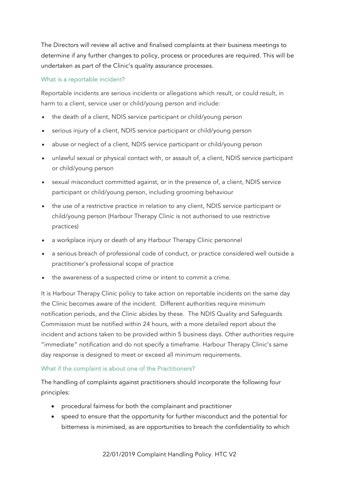The Directors will review all active and finalised complaints at their business meetings to determine if any further changes to policy, process or procedures are required. This will be undertaken as part of the Clinic's quality assurance processes.

# What is a reportable incident?

Reportable incidents are serious incidents or allegations which result, or could result, in harm to a client, service user or child/young person and include:

- the death of a client, NDIS service participant or child/young person
- serious injury of a client, NDIS service participant or child/young person
- abuse or neglect of a client, NDIS service participant or child/young person
- unlawful sexual or physical contact with, or assault of, a client, NDIS service participant or child/young person
- sexual misconduct committed against, or in the presence of, a client, NDIS service participant or child/young person, including grooming behaviour
- the use of a restrictive practice in relation to any client, NDIS service participant or child/young person (Harbour Therapy Clinic is not authorised to use restrictive practices)
- a workplace injury or death of any Harbour Therapy Clinic personnel
- a serious breach of professional code of conduct, or practice considered well outside a practitioner's professional scope of practice
- the awareness of a suspected crime or intent to commit a crime.

It is Harbour Therapy Clinic policy to take action on reportable incidents on the same day the Clinic becomes aware of the incident. Different authorities require minimum notification periods, and the Clinic abides by these. The NDIS Quality and Safeguards Commission must be notified within 24 hours, with a more detailed report about the incident and actions taken to be provided within 5 business days. Other authorities require "immediate" notification and do not specify a timeframe. Harbour Therapy Clinic's same day response is designed to meet or exceed all minimum requirements.

# What if the complaint is about one of the Practitioners?

The handling of complaints against practitioners should incorporate the following four principles:

- procedural fairness for both the complainant and practitioner
- speed to ensure that the opportunity for further misconduct and the potential for bitterness is minimised, as are opportunities to breach the confidentiality to which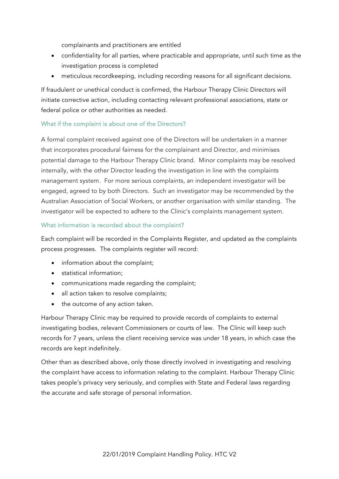complainants and practitioners are entitled

- confidentiality for all parties, where practicable and appropriate, until such time as the investigation process is completed
- meticulous recordkeeping, including recording reasons for all significant decisions.

If fraudulent or unethical conduct is confirmed, the Harbour Therapy Clinic Directors will initiate corrective action, including contacting relevant professional associations, state or federal police or other authorities as needed.

# What if the complaint is about one of the Directors?

A formal complaint received against one of the Directors will be undertaken in a manner that incorporates procedural fairness for the complainant and Director, and minimises potential damage to the Harbour Therapy Clinic brand. Minor complaints may be resolved internally, with the other Director leading the investigation in line with the complaints management system. For more serious complaints, an independent investigator will be engaged, agreed to by both Directors. Such an investigator may be recommended by the Australian Association of Social Workers, or another organisation with similar standing. The investigator will be expected to adhere to the Clinic's complaints management system.

# What information is recorded about the complaint?

Each complaint will be recorded in the Complaints Register, and updated as the complaints process progresses. The complaints register will record:

- information about the complaint;
- statistical information;
- communications made regarding the complaint;
- all action taken to resolve complaints;
- the outcome of any action taken.

Harbour Therapy Clinic may be required to provide records of complaints to external investigating bodies, relevant Commissioners or courts of law. The Clinic will keep such records for 7 years, unless the client receiving service was under 18 years, in which case the records are kept indefinitely.

Other than as described above, only those directly involved in investigating and resolving the complaint have access to information relating to the complaint. Harbour Therapy Clinic takes people's privacy very seriously, and complies with State and Federal laws regarding the accurate and safe storage of personal information.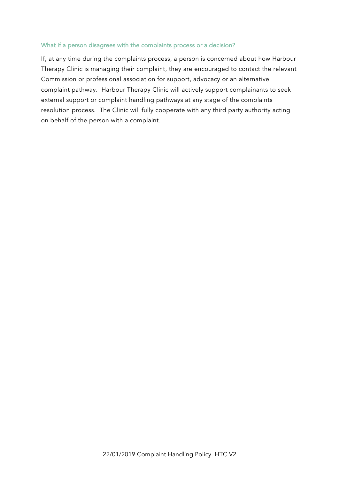## What if a person disagrees with the complaints process or a decision?

If, at any time during the complaints process, a person is concerned about how Harbour Therapy Clinic is managing their complaint, they are encouraged to contact the relevant Commission or professional association for support, advocacy or an alternative complaint pathway. Harbour Therapy Clinic will actively support complainants to seek external support or complaint handling pathways at any stage of the complaints resolution process. The Clinic will fully cooperate with any third party authority acting on behalf of the person with a complaint.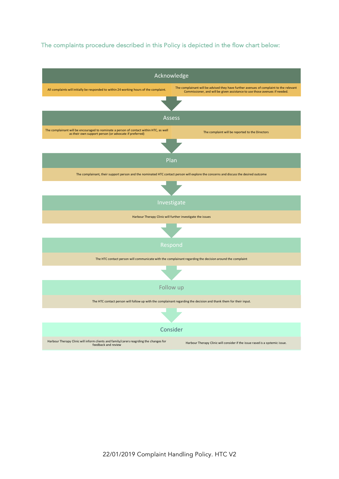# The complaints procedure described in this Policy is depicted in the flow chart below:

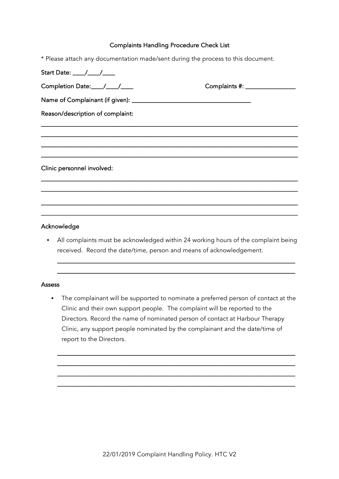#### Complaints Handling Procedure Check List

\* Please attach any documentation made/sent during the process to this document.

| Completion Date:____/____/____                                                                                        | Complaints #: _________________ |
|-----------------------------------------------------------------------------------------------------------------------|---------------------------------|
|                                                                                                                       |                                 |
| Reason/description of complaint:                                                                                      |                                 |
| <u> 1950 - Johann John Stoff, disk fan it ferskeinder fan it ferskeinde fan it ferskeinde fan it ferskeinde fan i</u> |                                 |
|                                                                                                                       |                                 |
|                                                                                                                       |                                 |
| Clinic personnel involved:                                                                                            |                                 |
|                                                                                                                       |                                 |
|                                                                                                                       |                                 |
|                                                                                                                       |                                 |

# Acknowledge

• All complaints must be acknowledged within 24 working hours of the complaint being received. Record the date/time, person and means of acknowledgement.

\_\_\_\_\_\_\_\_\_\_\_\_\_\_\_\_\_\_\_\_\_\_\_\_\_\_\_\_\_\_\_\_\_\_\_\_\_\_\_\_\_\_\_\_\_\_\_\_\_\_\_\_\_\_\_\_\_\_\_\_\_\_\_\_\_\_\_\_\_\_\_\_\_\_\_\_ \_\_\_\_\_\_\_\_\_\_\_\_\_\_\_\_\_\_\_\_\_\_\_\_\_\_\_\_\_\_\_\_\_\_\_\_\_\_\_\_\_\_\_\_\_\_\_\_\_\_\_\_\_\_\_\_\_\_\_\_\_\_\_\_\_\_\_\_\_\_\_\_\_\_\_\_

#### **Assess**

• The complainant will be supported to nominate a preferred person of contact at the Clinic and their own support people. The complaint will be reported to the Directors. Record the name of nominated person of contact at Harbour Therapy Clinic, any support people nominated by the complainant and the date/time of report to the Directors.

\_\_\_\_\_\_\_\_\_\_\_\_\_\_\_\_\_\_\_\_\_\_\_\_\_\_\_\_\_\_\_\_\_\_\_\_\_\_\_\_\_\_\_\_\_\_\_\_\_\_\_\_\_\_\_\_\_\_\_\_\_\_\_\_\_\_\_\_\_\_\_\_\_\_\_\_ \_\_\_\_\_\_\_\_\_\_\_\_\_\_\_\_\_\_\_\_\_\_\_\_\_\_\_\_\_\_\_\_\_\_\_\_\_\_\_\_\_\_\_\_\_\_\_\_\_\_\_\_\_\_\_\_\_\_\_\_\_\_\_\_\_\_\_\_\_\_\_\_\_\_\_\_ \_\_\_\_\_\_\_\_\_\_\_\_\_\_\_\_\_\_\_\_\_\_\_\_\_\_\_\_\_\_\_\_\_\_\_\_\_\_\_\_\_\_\_\_\_\_\_\_\_\_\_\_\_\_\_\_\_\_\_\_\_\_\_\_\_\_\_\_\_\_\_\_\_\_\_\_ \_\_\_\_\_\_\_\_\_\_\_\_\_\_\_\_\_\_\_\_\_\_\_\_\_\_\_\_\_\_\_\_\_\_\_\_\_\_\_\_\_\_\_\_\_\_\_\_\_\_\_\_\_\_\_\_\_\_\_\_\_\_\_\_\_\_\_\_\_\_\_\_\_\_\_\_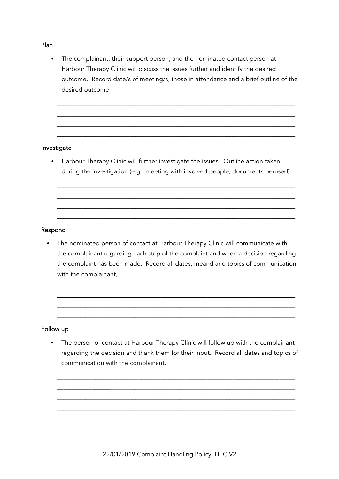#### Plan

• The complainant, their support person, and the nominated contact person at Harbour Therapy Clinic will discuss the issues further and identify the desired outcome. Record date/s of meeting/s, those in attendance and a brief outline of the desired outcome.

\_\_\_\_\_\_\_\_\_\_\_\_\_\_\_\_\_\_\_\_\_\_\_\_\_\_\_\_\_\_\_\_\_\_\_\_\_\_\_\_\_\_\_\_\_\_\_\_\_\_\_\_\_\_\_\_\_\_\_\_\_\_\_\_\_\_\_\_\_\_\_\_\_\_\_\_ \_\_\_\_\_\_\_\_\_\_\_\_\_\_\_\_\_\_\_\_\_\_\_\_\_\_\_\_\_\_\_\_\_\_\_\_\_\_\_\_\_\_\_\_\_\_\_\_\_\_\_\_\_\_\_\_\_\_\_\_\_\_\_\_\_\_\_\_\_\_\_\_\_\_\_\_ \_\_\_\_\_\_\_\_\_\_\_\_\_\_\_\_\_\_\_\_\_\_\_\_\_\_\_\_\_\_\_\_\_\_\_\_\_\_\_\_\_\_\_\_\_\_\_\_\_\_\_\_\_\_\_\_\_\_\_\_\_\_\_\_\_\_\_\_\_\_\_\_\_\_\_\_ \_\_\_\_\_\_\_\_\_\_\_\_\_\_\_\_\_\_\_\_\_\_\_\_\_\_\_\_\_\_\_\_\_\_\_\_\_\_\_\_\_\_\_\_\_\_\_\_\_\_\_\_\_\_\_\_\_\_\_\_\_\_\_\_\_\_\_\_\_\_\_\_\_\_\_\_

## Investigate

• Harbour Therapy Clinic will further investigate the issues. Outline action taken during the investigation (e.g., meeting with involved people, documents perused)

\_\_\_\_\_\_\_\_\_\_\_\_\_\_\_\_\_\_\_\_\_\_\_\_\_\_\_\_\_\_\_\_\_\_\_\_\_\_\_\_\_\_\_\_\_\_\_\_\_\_\_\_\_\_\_\_\_\_\_\_\_\_\_\_\_\_\_\_\_\_\_\_\_\_\_\_ \_\_\_\_\_\_\_\_\_\_\_\_\_\_\_\_\_\_\_\_\_\_\_\_\_\_\_\_\_\_\_\_\_\_\_\_\_\_\_\_\_\_\_\_\_\_\_\_\_\_\_\_\_\_\_\_\_\_\_\_\_\_\_\_\_\_\_\_\_\_\_\_\_\_\_\_ \_\_\_\_\_\_\_\_\_\_\_\_\_\_\_\_\_\_\_\_\_\_\_\_\_\_\_\_\_\_\_\_\_\_\_\_\_\_\_\_\_\_\_\_\_\_\_\_\_\_\_\_\_\_\_\_\_\_\_\_\_\_\_\_\_\_\_\_\_\_\_\_\_\_\_\_ \_\_\_\_\_\_\_\_\_\_\_\_\_\_\_\_\_\_\_\_\_\_\_\_\_\_\_\_\_\_\_\_\_\_\_\_\_\_\_\_\_\_\_\_\_\_\_\_\_\_\_\_\_\_\_\_\_\_\_\_\_\_\_\_\_\_\_\_\_\_\_\_\_\_\_\_

## Respond

• The nominated person of contact at Harbour Therapy Clinic will communicate with the complainant regarding each step of the complaint and when a decision regarding the complaint has been made. Record all dates, meand and topics of communication with the complainant.

\_\_\_\_\_\_\_\_\_\_\_\_\_\_\_\_\_\_\_\_\_\_\_\_\_\_\_\_\_\_\_\_\_\_\_\_\_\_\_\_\_\_\_\_\_\_\_\_\_\_\_\_\_\_\_\_\_\_\_\_\_\_\_\_\_\_\_\_\_\_\_\_\_\_\_\_ \_\_\_\_\_\_\_\_\_\_\_\_\_\_\_\_\_\_\_\_\_\_\_\_\_\_\_\_\_\_\_\_\_\_\_\_\_\_\_\_\_\_\_\_\_\_\_\_\_\_\_\_\_\_\_\_\_\_\_\_\_\_\_\_\_\_\_\_\_\_\_\_\_\_\_\_ \_\_\_\_\_\_\_\_\_\_\_\_\_\_\_\_\_\_\_\_\_\_\_\_\_\_\_\_\_\_\_\_\_\_\_\_\_\_\_\_\_\_\_\_\_\_\_\_\_\_\_\_\_\_\_\_\_\_\_\_\_\_\_\_\_\_\_\_\_\_\_\_\_\_\_\_ \_\_\_\_\_\_\_\_\_\_\_\_\_\_\_\_\_\_\_\_\_\_\_\_\_\_\_\_\_\_\_\_\_\_\_\_\_\_\_\_\_\_\_\_\_\_\_\_\_\_\_\_\_\_\_\_\_\_\_\_\_\_\_\_\_\_\_\_\_\_\_\_\_\_\_\_

## Follow up

• The person of contact at Harbour Therapy Clinic will follow up with the complainant regarding the decision and thank them for their input. Record all dates and topics of communication with the complainant.

\_\_\_\_\_\_\_\_\_\_\_\_\_\_\_\_\_\_\_\_\_\_\_\_\_\_\_\_\_\_\_\_\_\_\_\_\_\_\_\_\_\_\_\_\_\_\_\_\_\_\_\_\_\_\_\_\_\_\_\_\_\_\_\_\_\_\_\_\_\_\_\_\_\_\_\_ \_\_\_\_\_\_\_\_\_\_\_\_\_\_\_\_\_\_\_\_\_\_\_\_\_\_\_\_\_\_\_\_\_\_\_\_\_\_\_\_\_\_\_\_\_\_\_\_\_\_\_\_\_\_\_\_\_\_\_\_\_\_\_\_\_\_\_\_\_\_\_\_\_\_\_\_ \_\_\_\_\_\_\_\_\_\_\_\_\_\_\_\_\_\_\_\_\_\_\_\_\_\_\_\_\_\_\_\_\_\_\_\_\_\_\_\_\_\_\_\_\_\_\_\_\_\_\_\_\_\_\_\_\_\_\_\_\_\_\_\_\_\_\_\_\_\_\_\_\_\_\_\_ \_\_\_\_\_\_\_\_\_\_\_\_\_\_\_\_\_\_\_\_\_\_\_\_\_\_\_\_\_\_\_\_\_\_\_\_\_\_\_\_\_\_\_\_\_\_\_\_\_\_\_\_\_\_\_\_\_\_\_\_\_\_\_\_\_\_\_\_\_\_\_\_\_\_\_\_